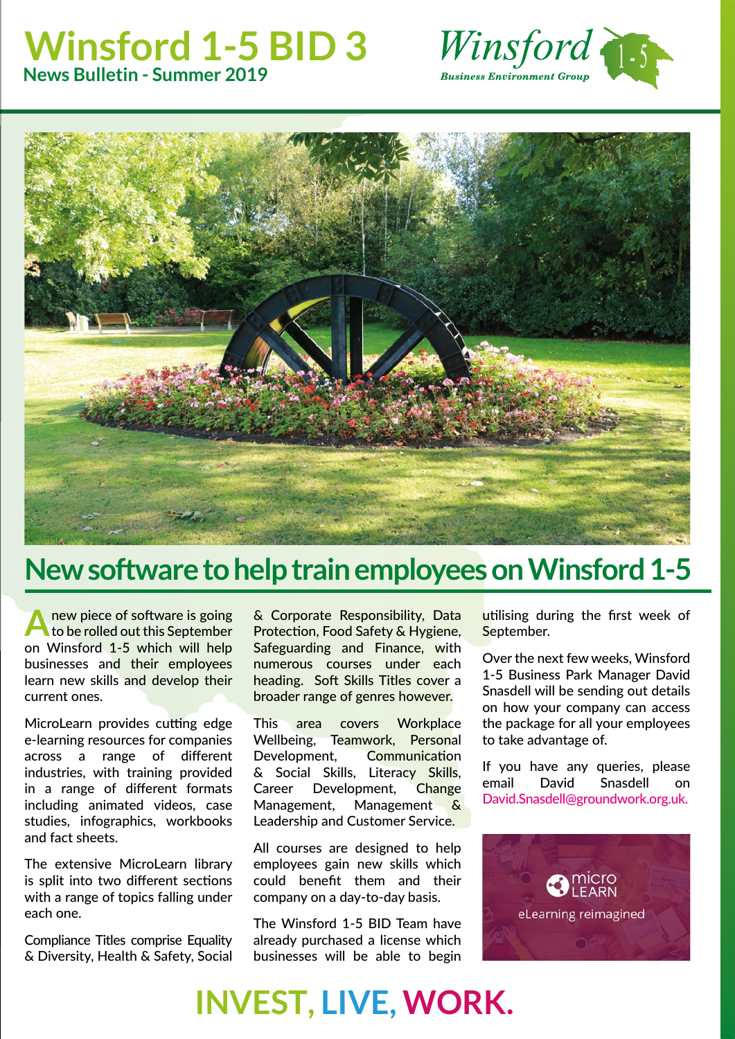#### **Winsford 1-5 BID 3 News Bulletin - Summer 2019**





## **New software to help train employees on Winsford 1-5**

**A** new piece of software is going to be rolled out this September on Winsford 1-5 which will help businesses and their employees learn new skills and develop their current ones.

MicroLearn provides cutting edge e-learning resources for companies across a range of different industries, with training provided in a range of different formats including animated videos, case studies, infographics, workbooks and fact sheets.

The extensive MicroLearn library is split into two different sections with a range of topics falling under each one.

Compliance Titles comprise Equality & Diversity, Health & Safety, Social

& Corporate Responsibility, Data Protection, Food Safety & Hygiene, Safeguarding and Finance, with numerous courses under each heading. Soft Skills Titles cover a broader range of genres however.

This area covers Workplace Wellbeing, Teamwork, Personal Development, Communication & Social Skills, Literacy Skills, Career Development, Change Management, Management & Leadership and Customer Service.

All courses are designed to help employees gain new skills which could benefit them and their company on a day-to-day basis.

The Winsford 1-5 BID Team have already purchased a license which businesses will be able to begin utilising during the first week of September.

Over the next few weeks, Winsford 1-5 Business Park Manager David Snasdell will be sending out details on how your company can access the package for all your employees to take advantage of.

If you have any queries, please email David Snasdell on David.Snasdell@groundwork.org.uk.



# **INVEST, LIVE, WORK.**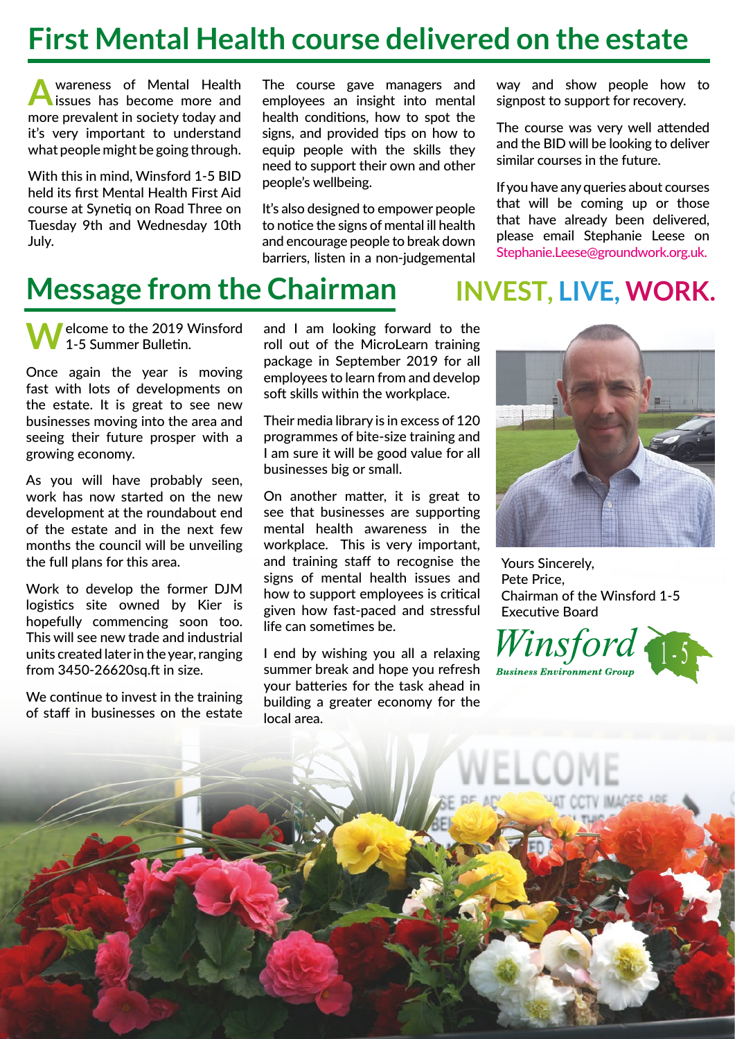## **First Mental Health course delivered on the estate**

**A**wareness of Mental Health issues has become more and more prevalent in society today and it's very important to understand what people might be going through.

With this in mind, Winsford 1-5 BID held its first Mental Health First Aid course at Synetiq on Road Three on Tuesday 9th and Wednesday 10th July.

The course gave managers and employees an insight into mental health conditions, how to spot the signs, and provided tips on how to equip people with the skills they need to support their own and other people's wellbeing.

It's also designed to empower people to notice the signs of mental ill health and encourage people to break down barriers, listen in a non-judgemental

way and show people how to signpost to support for recovery.

The course was very well attended and the BID will be looking to deliver similar courses in the future.

If you have any queries about courses that will be coming up or those that have already been delivered, please email Stephanie Leese on Stephanie.Leese@groundwork.org.uk.

## **Message from the Chairman INVEST, LIVE, WORK.**

**elcome to the 2019 Winsford** 1-5 Summer Bulletin.

Once again the year is moving fast with lots of developments on the estate. It is great to see new businesses moving into the area and seeing their future prosper with a growing economy.

As you will have probably seen, work has now started on the new development at the roundabout end of the estate and in the next few months the council will be unveiling the full plans for this area.

Work to develop the former DJM logistics site owned by Kier is hopefully commencing soon too. This will see new trade and industrial units created later in the year, ranging from 3450-26620sq.ft in size.

We continue to invest in the training of staff in businesses on the estate and I am looking forward to the roll out of the MicroLearn training package in September 2019 for all employees to learn from and develop soft skills within the workplace.

Their media library is in excess of 120 programmes of bite-size training and I am sure it will be good value for all businesses big or small.

On another matter, it is great to see that businesses are supporting mental health awareness in the workplace. This is very important, and training staff to recognise the signs of mental health issues and how to support employees is critical given how fast-paced and stressful life can sometimes be.

I end by wishing you all a relaxing summer break and hope you refresh your batteries for the task ahead in building a greater economy for the local area.



Yours Sincerely, Pete Price, Chairman of the Winsford 1-5 Executive Board

<sup>T</sup>insford **Business Environment Grou** 

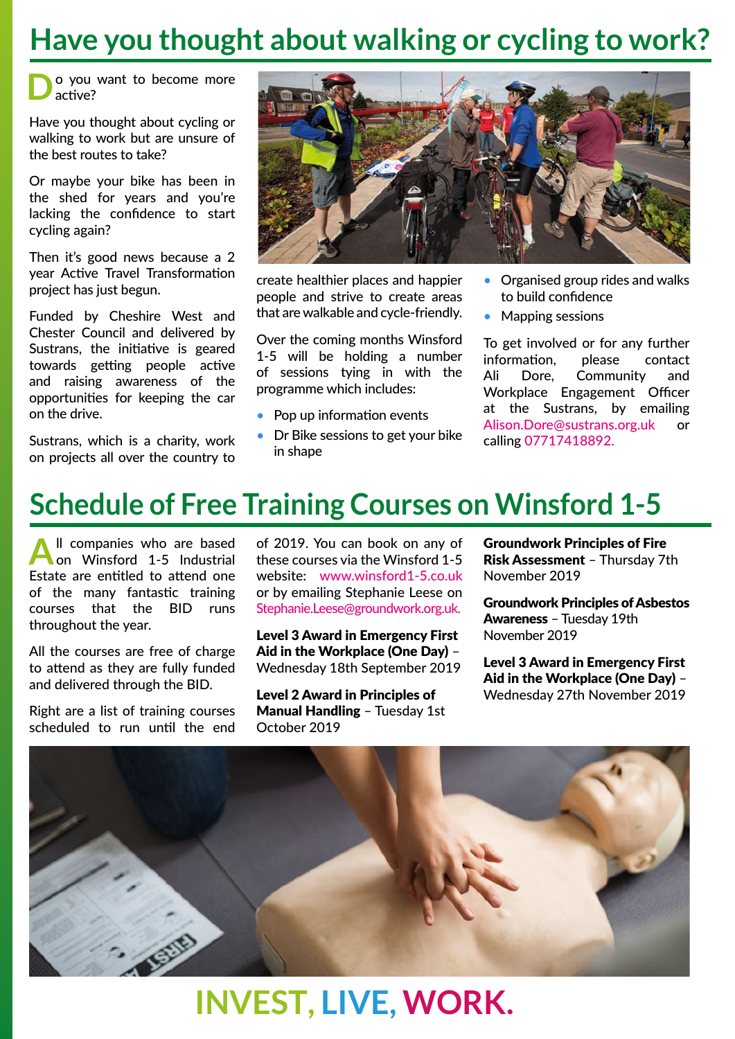### **Have you thought about walking or cycling to work?**

**D**o you want to become more active?

Have you thought about cycling or walking to work but are unsure of the best routes to take?

Or maybe your bike has been in the shed for years and you're lacking the confidence to start cycling again?

Then it's good news because a 2 year Active Travel Transformation project has just begun.

Funded by Cheshire West and Chester Council and delivered by Sustrans, the initiative is geared towards getting people active and raising awareness of the opportunities for keeping the car on the drive.

Sustrans, which is a charity, work on projects all over the country to



create healthier places and happier people and strive to create areas that are walkable and cycle-friendly.

Over the coming months Winsford 1-5 will be holding a number of sessions tying in with the programme which includes:

- Pop up information events
- Dr Bike sessions to get your bike in shape
- Organised group rides and walks to build confidence
- Mapping sessions

To get involved or for any further information, please contact Ali Dore, Community and Workplace Engagement Officer at the Sustrans, by emailing Alison.Dore@sustrans.org.uk or calling 07717418892.

#### **Schedule of Free Training Courses on Winsford 1-5**

All companies who are based<br>
on Winsford 1-5 Industrial Estate are entitled to attend one of the many fantastic training courses that the BID runs throughout the year.

All the courses are free of charge to attend as they are fully funded and delivered through the BID.

Right are a list of training courses scheduled to run until the end

of 2019. You can book on any of these courses via the Winsford 1-5 website: www.winsford1-5.co.uk or by emailing Stephanie Leese on Stephanie.Leese@groundwork.org.uk.

Level 3 Award in Emergency First Aid in the Workplace (One Day) – Wednesday 18th September 2019

Level 2 Award in Principles of Manual Handling – Tuesday 1st October 2019

Groundwork Principles of Fire Risk Assessment – Thursday 7th November 2019

Groundwork Principles of Asbestos Awareness – Tuesday 19th November 2019

Level 3 Award in Emergency First Aid in the Workplace (One Day) – Wednesday 27th November 2019



# **INVEST, LIVE, WORK.**